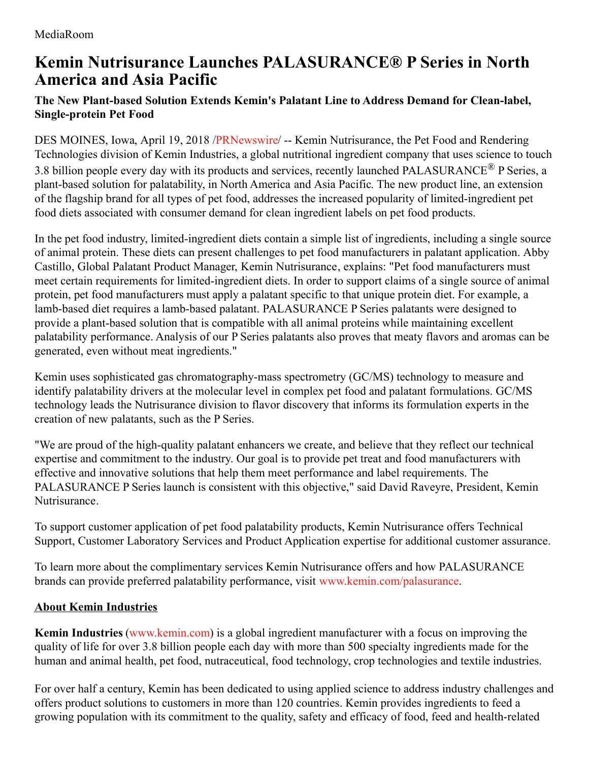## **Kemin Nutrisurance Launches PALASURANCE® P Series in North America and Asia Pacific**

## **The New Plant-based Solution Extends Kemin's Palatant Line to Address Demand for Clean-label, Single-protein Pet Food**

DES MOINES, Iowa, April 19, 2018 [/PRNewswire](http://www.prnewswire.com/)/ -- Kemin Nutrisurance, the Pet Food and Rendering Technologies division of Kemin Industries, a global nutritional ingredient company that uses science to touch 3.8 billion people every day with its products and services, recently launched PALASURANCE® P Series, a plant-based solution for palatability, in North America and Asia Pacific. The new product line, an extension of the flagship brand for all types of pet food, addresses the increased popularity of limited-ingredient pet food diets associated with consumer demand for clean ingredient labels on pet food products.

In the pet food industry, limited-ingredient diets contain a simple list of ingredients, including a single source of animal protein. These diets can present challenges to pet food manufacturers in palatant application. Abby Castillo, Global Palatant Product Manager, Kemin Nutrisurance, explains: "Pet food manufacturers must meet certain requirements for limited-ingredient diets. In order to support claims of a single source of animal protein, pet food manufacturers must apply a palatant specific to that unique protein diet. For example, a lamb-based diet requires a lamb-based palatant. PALASURANCE P Series palatants were designed to provide a plant-based solution that is compatible with all animal proteins while maintaining excellent palatability performance. Analysis of our P Series palatants also proves that meaty flavors and aromas can be generated, even without meat ingredients."

Kemin uses sophisticated gas chromatography-mass spectrometry (GC/MS) technology to measure and identify palatability drivers at the molecular level in complex pet food and palatant formulations. GC/MS technology leads the Nutrisurance division to flavor discovery that informs its formulation experts in the creation of new palatants, such as the P Series.

"We are proud of the high-quality palatant enhancers we create, and believe that they reflect our technical expertise and commitment to the industry. Our goal is to provide pet treat and food manufacturers with effective and innovative solutions that help them meet performance and label requirements. The PALASURANCE P Series launch is consistent with this objective," said David Raveyre, President, Kemin Nutrisurance.

To support customer application of pet food palatability products, Kemin Nutrisurance offers Technical Support, Customer Laboratory Services and Product Application expertise for additional customer assurance.

To learn more about the complimentary services Kemin Nutrisurance offers and how PALASURANCE brands can provide preferred palatability performance, visit [www.kemin.com/palasurance](http://www.kemin.com/palasurance).

## **About Kemin Industries**

**Kemin Industries** [\(www.kemin.com](http://www.kemin.com/)) is a global ingredient manufacturer with a focus on improving the quality of life for over 3.8 billion people each day with more than 500 specialty ingredients made for the human and animal health, pet food, nutraceutical, food technology, crop technologies and textile industries.

For over half a century, Kemin has been dedicated to using applied science to address industry challenges and offers product solutions to customers in more than 120 countries. Kemin provides ingredients to feed a growing population with its commitment to the quality, safety and efficacy of food, feed and health-related